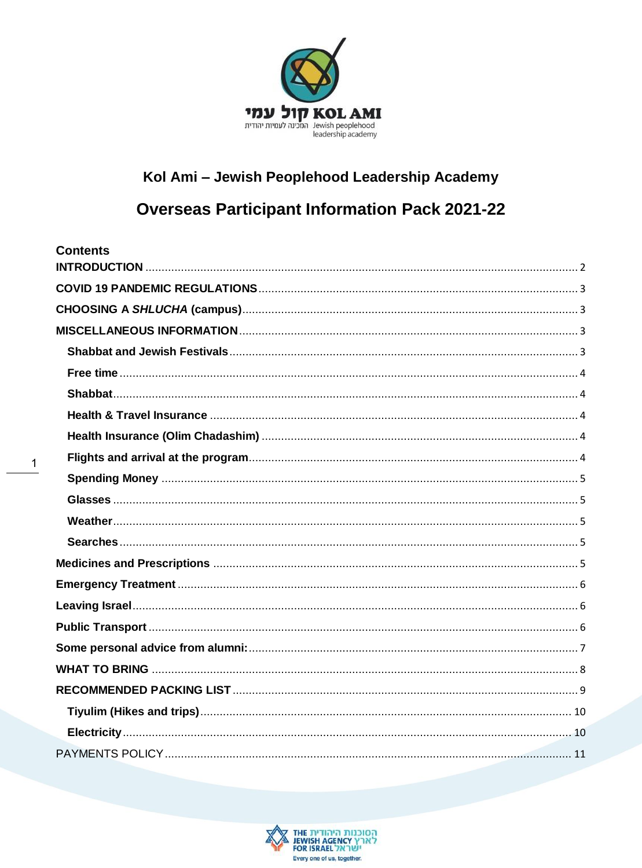

# Kol Ami - Jewish Peoplehood Leadership Academy

# **Overseas Participant Information Pack 2021-22**

| <b>Contents</b> |
|-----------------|
|                 |
|                 |
|                 |
|                 |
|                 |
|                 |
|                 |
|                 |
|                 |
|                 |
|                 |
|                 |
|                 |
|                 |
|                 |
|                 |
|                 |
|                 |
|                 |
|                 |
|                 |
|                 |
|                 |

 $\mathbf{1}$ 

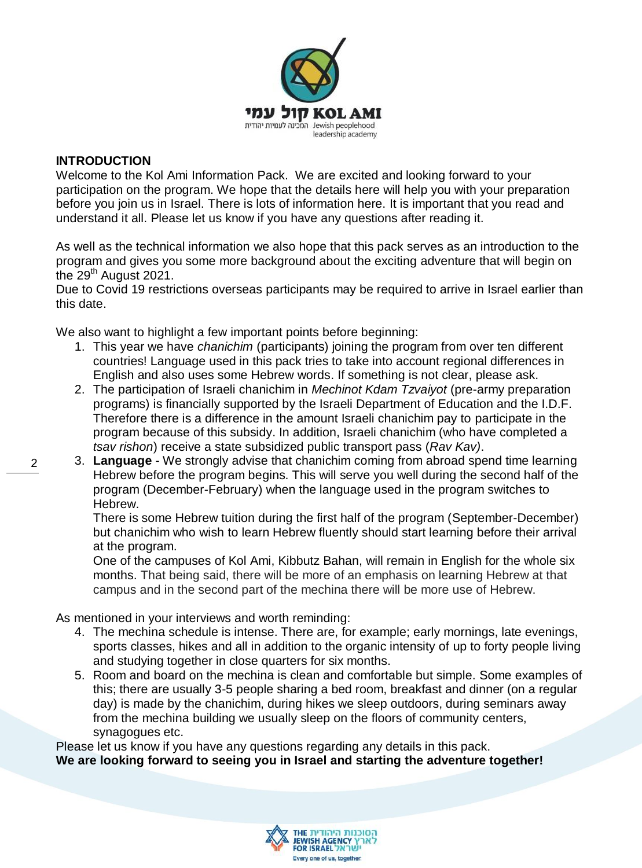

#### <span id="page-1-0"></span>**INTRODUCTION**

Welcome to the Kol Ami Information Pack. We are excited and looking forward to your participation on the program. We hope that the details here will help you with your preparation before you join us in Israel. There is lots of information here. It is important that you read and understand it all. Please let us know if you have any questions after reading it.

As well as the technical information we also hope that this pack serves as an introduction to the program and gives you some more background about the exciting adventure that will begin on the 29<sup>th</sup> August 2021.

Due to Covid 19 restrictions overseas participants may be required to arrive in Israel earlier than this date.

We also want to highlight a few important points before beginning:

- 1. This year we have *chanichim* (participants) joining the program from over ten different countries! Language used in this pack tries to take into account regional differences in English and also uses some Hebrew words. If something is not clear, please ask.
- 2. The participation of Israeli chanichim in *Mechinot Kdam Tzvaiyot* (pre-army preparation programs) is financially supported by the Israeli Department of Education and the I.D.F. Therefore there is a difference in the amount Israeli chanichim pay to participate in the program because of this subsidy. In addition, Israeli chanichim (who have completed a *tsav rishon*) receive a state subsidized public transport pass (*Rav Kav)*.
- 3. **Language** We strongly advise that chanichim coming from abroad spend time learning Hebrew before the program begins. This will serve you well during the second half of the program (December-February) when the language used in the program switches to Hebrew.

There is some Hebrew tuition during the first half of the program (September-December) but chanichim who wish to learn Hebrew fluently should start learning before their arrival at the program.

One of the campuses of Kol Ami, Kibbutz Bahan, will remain in English for the whole six months. That being said, there will be more of an emphasis on learning Hebrew at that campus and in the second part of the mechina there will be more use of Hebrew.

As mentioned in your interviews and worth reminding:

- 4. The mechina schedule is intense. There are, for example; early mornings, late evenings, sports classes, hikes and all in addition to the organic intensity of up to forty people living and studying together in close quarters for six months.
- 5. Room and board on the mechina is clean and comfortable but simple. Some examples of this; there are usually 3-5 people sharing a bed room, breakfast and dinner (on a regular day) is made by the chanichim, during hikes we sleep outdoors, during seminars away from the mechina building we usually sleep on the floors of community centers, synagogues etc.

Please let us know if you have any questions regarding any details in this pack.



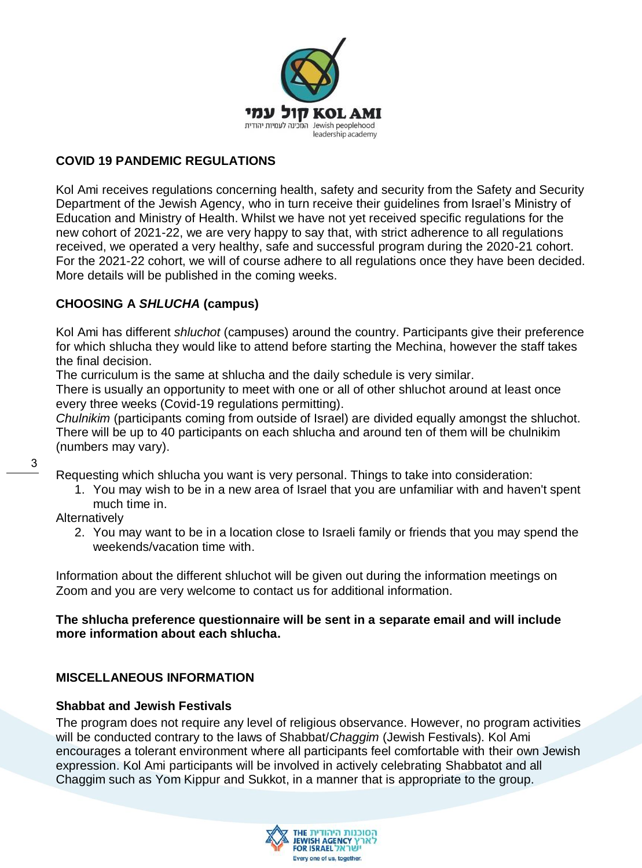

# <span id="page-2-0"></span>**COVID 19 PANDEMIC REGULATIONS**

Kol Ami receives regulations concerning health, safety and security from the Safety and Security Department of the Jewish Agency, who in turn receive their guidelines from Israel's Ministry of Education and Ministry of Health. Whilst we have not yet received specific regulations for the new cohort of 2021-22, we are very happy to say that, with strict adherence to all regulations received, we operated a very healthy, safe and successful program during the 2020-21 cohort. For the 2021-22 cohort, we will of course adhere to all regulations once they have been decided. More details will be published in the coming weeks.

# <span id="page-2-1"></span>**CHOOSING A** *SHLUCHA* **(campus)**

Kol Ami has different *shluchot* (campuses) around the country. Participants give their preference for which shlucha they would like to attend before starting the Mechina, however the staff takes the final decision.

The curriculum is the same at shlucha and the daily schedule is very similar.

There is usually an opportunity to meet with one or all of other shluchot around at least once every three weeks (Covid-19 regulations permitting).

*Chulnikim* (participants coming from outside of Israel) are divided equally amongst the shluchot. There will be up to 40 participants on each shlucha and around ten of them will be chulnikim (numbers may vary).

Requesting which shlucha you want is very personal. Things to take into consideration:

1. You may wish to be in a new area of Israel that you are unfamiliar with and haven't spent much time in.

**Alternatively** 

2. You may want to be in a location close to Israeli family or friends that you may spend the weekends/vacation time with.

Information about the different shluchot will be given out during the information meetings on Zoom and you are very welcome to contact us for additional information.

# **The shlucha preference questionnaire will be sent in a separate email and will include more information about each shlucha.**

# <span id="page-2-2"></span>**MISCELLANEOUS INFORMATION**

## <span id="page-2-3"></span>**Shabbat and Jewish Festivals**

The program does not require any level of religious observance. However, no program activities will be conducted contrary to the laws of Shabbat/*Chaggim* (Jewish Festivals). Kol Ami encourages a tolerant environment where all participants feel comfortable with their own Jewish expression. Kol Ami participants will be involved in actively celebrating Shabbatot and all Chaggim such as Yom Kippur and Sukkot, in a manner that is appropriate to the group.

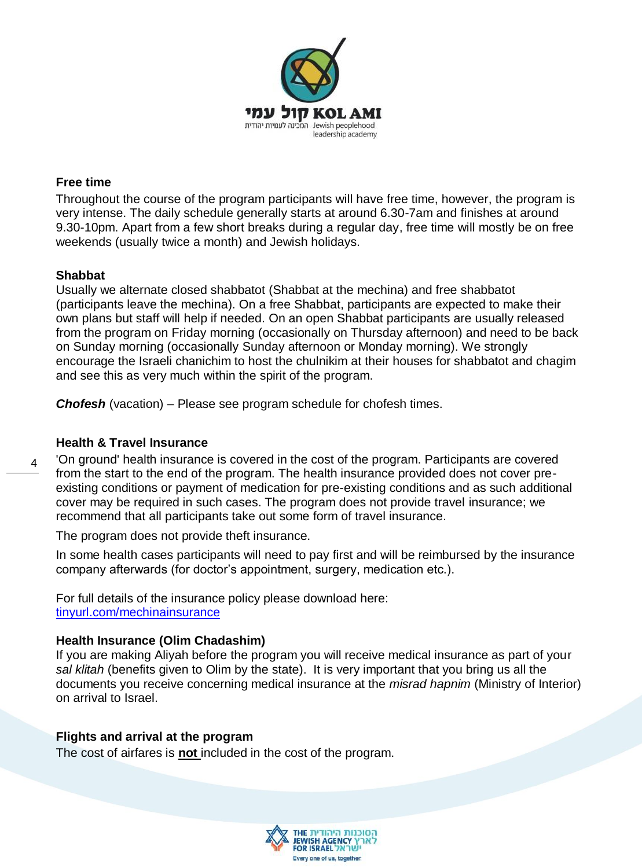

#### <span id="page-3-0"></span>**Free time**

Throughout the course of the program participants will have free time, however, the program is very intense. The daily schedule generally starts at around 6.30-7am and finishes at around 9.30-10pm. Apart from a few short breaks during a regular day, free time will mostly be on free weekends (usually twice a month) and Jewish holidays.

#### <span id="page-3-1"></span>**Shabbat**

Usually we alternate closed shabbatot (Shabbat at the mechina) and free shabbatot (participants leave the mechina). On a free Shabbat, participants are expected to make their own plans but staff will help if needed. On an open Shabbat participants are usually released from the program on Friday morning (occasionally on Thursday afternoon) and need to be back on Sunday morning (occasionally Sunday afternoon or Monday morning). We strongly encourage the Israeli chanichim to host the chulnikim at their houses for shabbatot and chagim and see this as very much within the spirit of the program.

*Chofesh* (vacation) – Please see program schedule for chofesh times.

## <span id="page-3-2"></span>**Health & Travel Insurance**

4 'On ground' health insurance is covered in the cost of the program. Participants are covered from the start to the end of the program. The health insurance provided does not cover preexisting conditions or payment of medication for pre-existing conditions and as such additional cover may be required in such cases. The program does not provide travel insurance; we recommend that all participants take out some form of travel insurance.

The program does not provide theft insurance.

In some health cases participants will need to pay first and will be reimbursed by the insurance company afterwards (for doctor's appointment, surgery, medication etc.).

For full details of the insurance policy please download here: [tinyurl.com/mechinainsurance](https://tinyurl.com/mechinainsurance)

## <span id="page-3-3"></span>**Health Insurance (Olim Chadashim)**

If you are making Aliyah before the program you will receive medical insurance as part of your *sal klitah* (benefits given to Olim by the state). It is very important that you bring us all the documents you receive concerning medical insurance at the *misrad hapnim* (Ministry of Interior) on arrival to Israel.

## <span id="page-3-4"></span>**Flights and arrival at the program**

The cost of airfares is **not** included in the cost of the program.

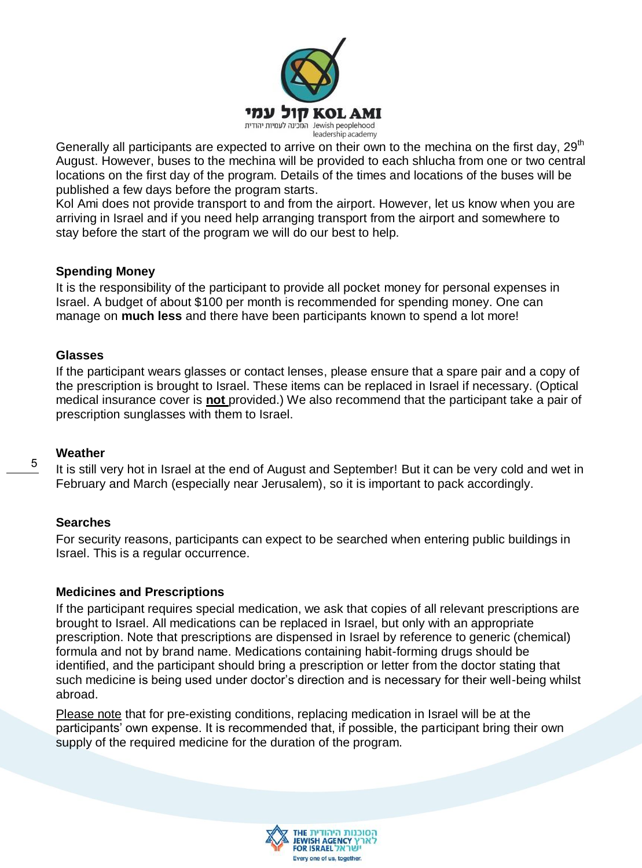

Generally all participants are expected to arrive on their own to the mechina on the first day, 29<sup>th</sup> August. However, buses to the mechina will be provided to each shlucha from one or two central locations on the first day of the program. Details of the times and locations of the buses will be published a few days before the program starts.

Kol Ami does not provide transport to and from the airport. However, let us know when you are arriving in Israel and if you need help arranging transport from the airport and somewhere to stay before the start of the program we will do our best to help.

#### <span id="page-4-0"></span>**Spending Money**

It is the responsibility of the participant to provide all pocket money for personal expenses in Israel. A budget of about \$100 per month is recommended for spending money. One can manage on **much less** and there have been participants known to spend a lot more!

#### <span id="page-4-1"></span>**Glasses**

If the participant wears glasses or contact lenses, please ensure that a spare pair and a copy of the prescription is brought to Israel. These items can be replaced in Israel if necessary. (Optical medical insurance cover is **not** provided.) We also recommend that the participant take a pair of prescription sunglasses with them to Israel.

## <span id="page-4-2"></span>**Weather**

5

It is still very hot in Israel at the end of August and September! But it can be very cold and wet in February and March (especially near Jerusalem), so it is important to pack accordingly.

## <span id="page-4-3"></span>**Searches**

For security reasons, participants can expect to be searched when entering public buildings in Israel. This is a regular occurrence.

## <span id="page-4-4"></span>**Medicines and Prescriptions**

If the participant requires special medication, we ask that copies of all relevant prescriptions are brought to Israel. All medications can be replaced in Israel, but only with an appropriate prescription. Note that prescriptions are dispensed in Israel by reference to generic (chemical) formula and not by brand name. Medications containing habit-forming drugs should be identified, and the participant should bring a prescription or letter from the doctor stating that such medicine is being used under doctor's direction and is necessary for their well-being whilst abroad.

Please note that for pre-existing conditions, replacing medication in Israel will be at the participants' own expense. It is recommended that, if possible, the participant bring their own supply of the required medicine for the duration of the program.

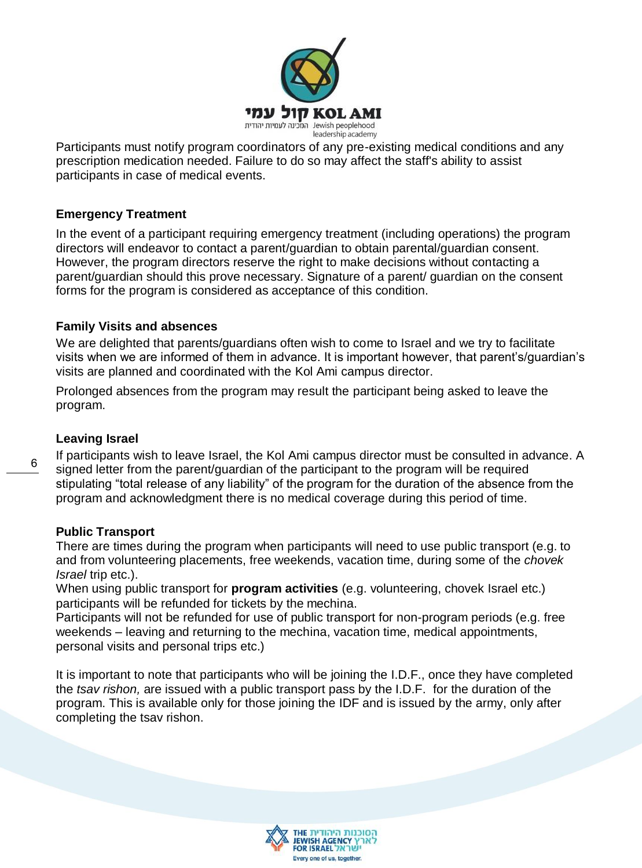

Participants must notify program coordinators of any pre-existing medical conditions and any prescription medication needed. Failure to do so may affect the staff's ability to assist participants in case of medical events.

#### <span id="page-5-0"></span>**Emergency Treatment**

In the event of a participant requiring emergency treatment (including operations) the program directors will endeavor to contact a parent/guardian to obtain parental/guardian consent. However, the program directors reserve the right to make decisions without contacting a parent/guardian should this prove necessary. Signature of a parent/ guardian on the consent forms for the program is considered as acceptance of this condition.

#### **Family Visits and absences**

We are delighted that parents/guardians often wish to come to Israel and we try to facilitate visits when we are informed of them in advance. It is important however, that parent's/guardian's visits are planned and coordinated with the Kol Ami campus director.

Prolonged absences from the program may result the participant being asked to leave the program.

#### <span id="page-5-1"></span>**Leaving Israel**

6

If participants wish to leave Israel, the Kol Ami campus director must be consulted in advance. A signed letter from the parent/guardian of the participant to the program will be required stipulating "total release of any liability" of the program for the duration of the absence from the program and acknowledgment there is no medical coverage during this period of time.

#### <span id="page-5-2"></span>**Public Transport**

There are times during the program when participants will need to use public transport (e.g. to and from volunteering placements, free weekends, vacation time, during some of the *chovek Israel* trip etc.).

When using public transport for **program activities** (e.g. volunteering, chovek Israel etc.) participants will be refunded for tickets by the mechina.

Participants will not be refunded for use of public transport for non-program periods (e.g. free weekends – leaving and returning to the mechina, vacation time, medical appointments, personal visits and personal trips etc.)

It is important to note that participants who will be joining the I.D.F., once they have completed the *tsav rishon,* are issued with a public transport pass by the I.D.F. for the duration of the program. This is available only for those joining the IDF and is issued by the army, only after completing the tsav rishon.

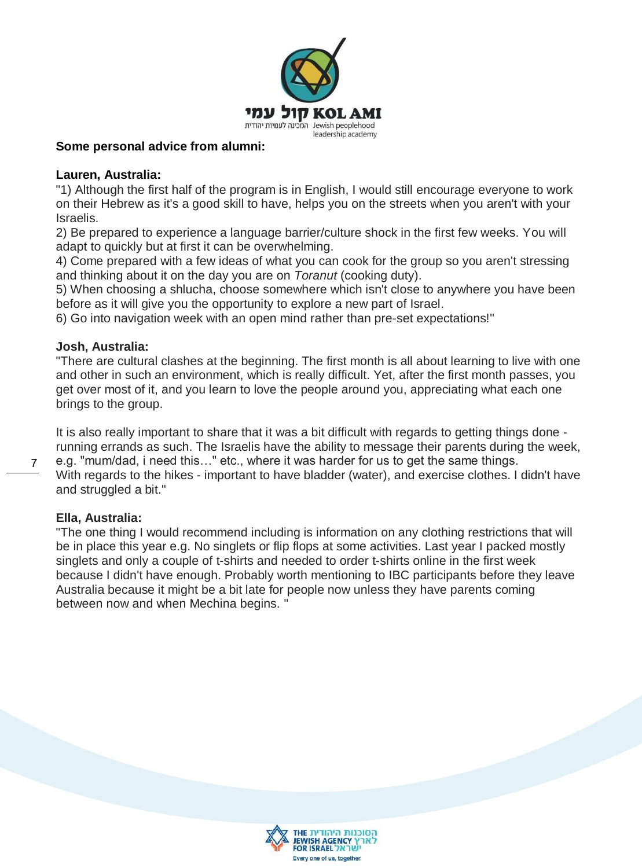

#### <span id="page-6-0"></span>**Some personal advice from alumni:**

#### **Lauren, Australia:**

"1) Although the first half of the program is in English, I would still encourage everyone to work on their Hebrew as it's a good skill to have, helps you on the streets when you aren't with your Israelis.

2) Be prepared to experience a language barrier/culture shock in the first few weeks. You will adapt to quickly but at first it can be overwhelming.

4) Come prepared with a few ideas of what you can cook for the group so you aren't stressing and thinking about it on the day you are on *Toranut* (cooking duty).

5) When choosing a shlucha, choose somewhere which isn't close to anywhere you have been before as it will give you the opportunity to explore a new part of Israel.

6) Go into navigation week with an open mind rather than pre-set expectations!"

#### **Josh, Australia:**

"There are cultural clashes at the beginning. The first month is all about learning to live with one and other in such an environment, which is really difficult. Yet, after the first month passes, you get over most of it, and you learn to love the people around you, appreciating what each one brings to the group.

It is also really important to share that it was a bit difficult with regards to getting things done running errands as such. The Israelis have the ability to message their parents during the week,

e.g. "mum/dad, i need this…" etc., where it was harder for us to get the same things. With regards to the hikes - important to have bladder (water), and exercise clothes. I didn't have and struggled a bit."

## **Ella, Australia:**

"The one thing I would recommend including is information on any clothing restrictions that will be in place this year e.g. No singlets or flip flops at some activities. Last year I packed mostly singlets and only a couple of t-shirts and needed to order t-shirts online in the first week because I didn't have enough. Probably worth mentioning to IBC participants before they leave Australia because it might be a bit late for people now unless they have parents coming between now and when Mechina begins. "

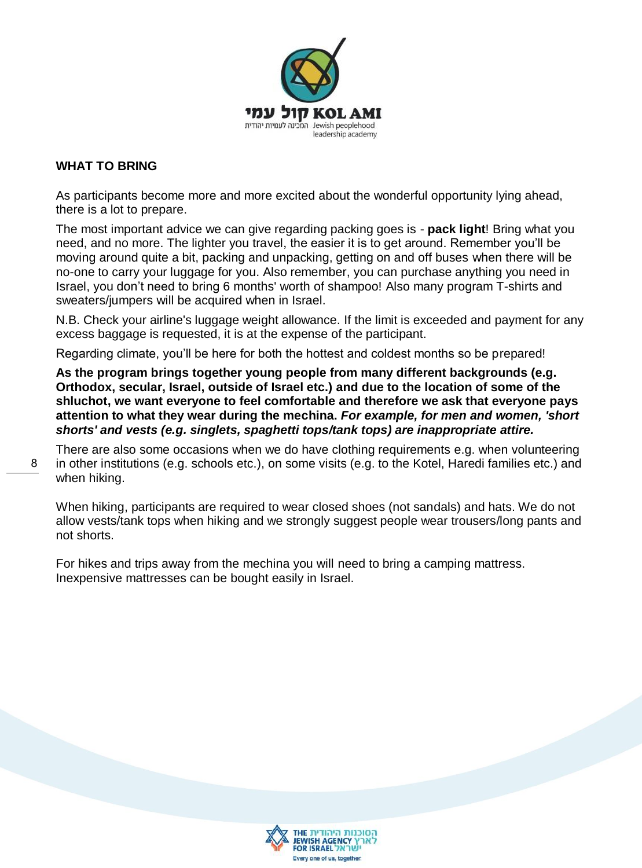

## <span id="page-7-0"></span>**WHAT TO BRING**

As participants become more and more excited about the wonderful opportunity lying ahead, there is a lot to prepare.

The most important advice we can give regarding packing goes is - **pack light**! Bring what you need, and no more. The lighter you travel, the easier it is to get around. Remember you'll be moving around quite a bit, packing and unpacking, getting on and off buses when there will be no-one to carry your luggage for you. Also remember, you can purchase anything you need in Israel, you don't need to bring 6 months' worth of shampoo! Also many program T-shirts and sweaters/jumpers will be acquired when in Israel.

N.B. Check your airline's luggage weight allowance. If the limit is exceeded and payment for any excess baggage is requested, it is at the expense of the participant.

Regarding climate, you'll be here for both the hottest and coldest months so be prepared!

**As the program brings together young people from many different backgrounds (e.g. Orthodox, secular, Israel, outside of Israel etc.) and due to the location of some of the shluchot, we want everyone to feel comfortable and therefore we ask that everyone pays attention to what they wear during the mechina.** *For example, for men and women, 'short shorts' and vests (e.g. singlets, spaghetti tops/tank tops) are inappropriate attire.*

There are also some occasions when we do have clothing requirements e.g. when volunteering in other institutions (e.g. schools etc.), on some visits (e.g. to the Kotel, Haredi families etc.) and when hiking.

When hiking, participants are required to wear closed shoes (not sandals) and hats. We do not allow vests/tank tops when hiking and we strongly suggest people wear trousers/long pants and not shorts.

For hikes and trips away from the mechina you will need to bring a camping mattress. Inexpensive mattresses can be bought easily in Israel.

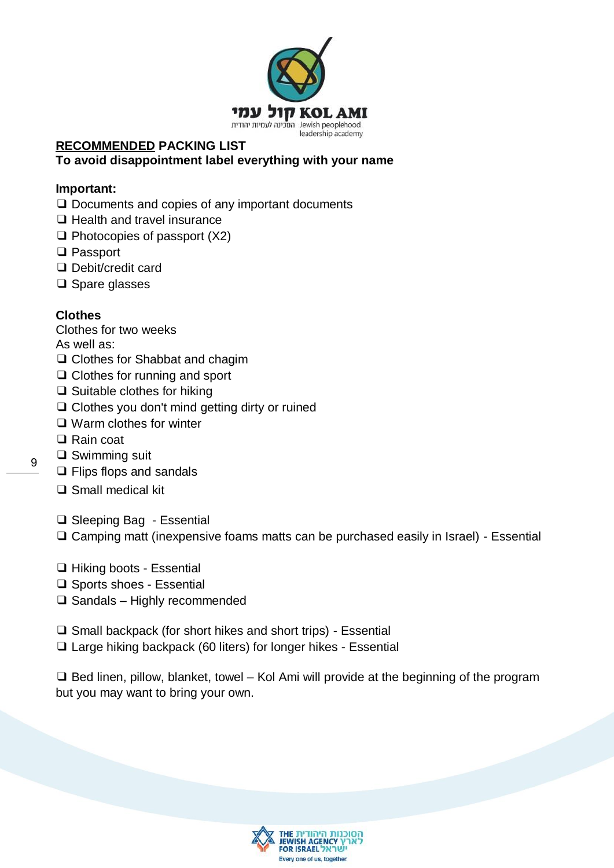

## <span id="page-8-0"></span>**RECOMMENDED PACKING LIST To avoid disappointment label everything with your name**

## **Important:**

- ❑ Documents and copies of any important documents
- ❑ Health and travel insurance
- ❑ Photocopies of passport (X2)
- ❑ Passport
- ❑ Debit/credit card
- ❑ Spare glasses

# **Clothes**

- Clothes for two weeks
- As well as:
- ❑ Clothes for Shabbat and chagim
- ❑ Clothes for running and sport
- ❑ Suitable clothes for hiking
- ❑ Clothes you don't mind getting dirty or ruined
- ❑ Warm clothes for winter
- ❑ Rain coat
- ❑ Swimming suit
- ❑ Flips flops and sandals
- ❑ Small medical kit
- ❑ Sleeping Bag Essential
- ❑ Camping matt (inexpensive foams matts can be purchased easily in Israel) Essential
- ❑ Hiking boots Essential
- ❑ Sports shoes Essential
- ❑ Sandals Highly recommended
- ❑ Small backpack (for short hikes and short trips) Essential
- ❑ Large hiking backpack (60 liters) for longer hikes Essential

❑ Bed linen, pillow, blanket, towel – Kol Ami will provide at the beginning of the program but you may want to bring your own.

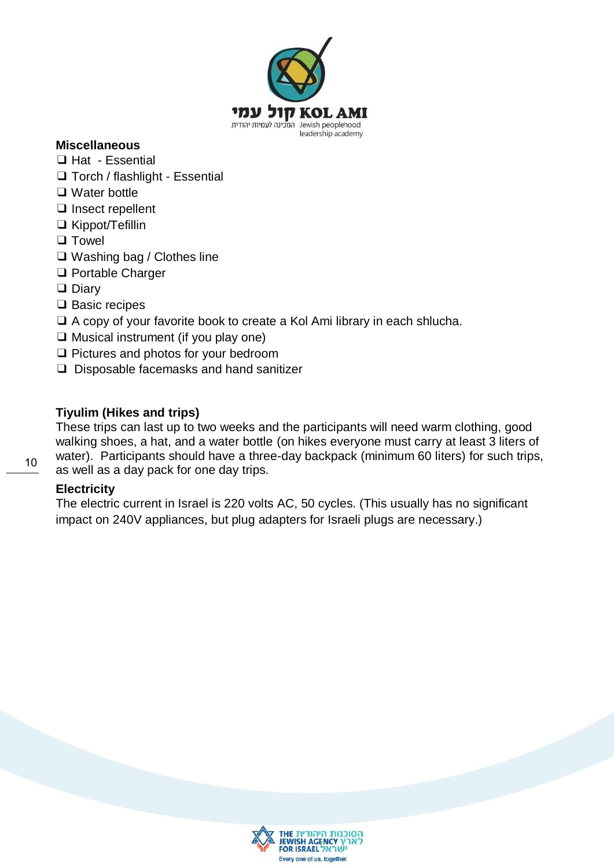

#### **Miscellaneous**

- ❑ Hat Essential
- ❑ Torch / flashlight Essential
- ❑ Water bottle
- ❑ Insect repellent
- ❑ Kippot/Tefillin
- ❑ Towel
- ❑ Washing bag / Clothes line
- ❑ Portable Charger
- ❑ Diary
- ❑ Basic recipes
- ❑ A copy of your favorite book to create a Kol Ami library in each shlucha.
- ❑ Musical instrument (if you play one)
- ❑ Pictures and photos for your bedroom
- ❑ Disposable facemasks and hand sanitizer

#### <span id="page-9-0"></span>**Tiyulim (Hikes and trips)**

These trips can last up to two weeks and the participants will need warm clothing, good walking shoes, a hat, and a water bottle (on hikes everyone must carry at least 3 liters of water). Participants should have a three-day backpack (minimum 60 liters) for such trips, as well as a day pack for one day trips.

#### <span id="page-9-1"></span>**Electricity**

<span id="page-9-2"></span>The electric current in Israel is 220 volts AC, 50 cycles. (This usually has no significant impact on 240V appliances, but plug adapters for Israeli plugs are necessary.)